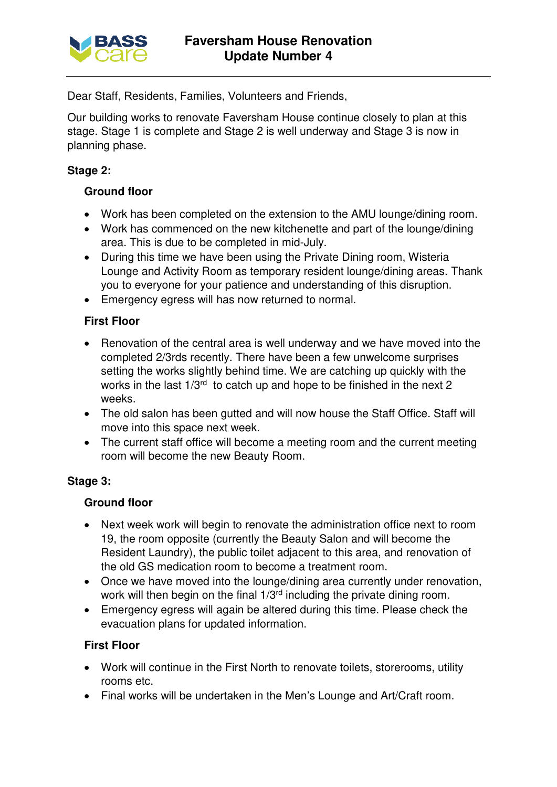

Dear Staff, Residents, Families, Volunteers and Friends,

Our building works to renovate Faversham House continue closely to plan at this stage. Stage 1 is complete and Stage 2 is well underway and Stage 3 is now in planning phase.

# **Stage 2:**

# **Ground floor**

- Work has been completed on the extension to the AMU lounge/dining room.
- Work has commenced on the new kitchenette and part of the lounge/dining area. This is due to be completed in mid-July.
- During this time we have been using the Private Dining room, Wisteria Lounge and Activity Room as temporary resident lounge/dining areas. Thank you to everyone for your patience and understanding of this disruption.
- Emergency egress will has now returned to normal.

## **First Floor**

- Renovation of the central area is well underway and we have moved into the completed 2/3rds recently. There have been a few unwelcome surprises setting the works slightly behind time. We are catching up quickly with the works in the last  $1/3^{rd}$  to catch up and hope to be finished in the next 2 weeks.
- The old salon has been gutted and will now house the Staff Office. Staff will move into this space next week.
- The current staff office will become a meeting room and the current meeting room will become the new Beauty Room.

## **Stage 3:**

## **Ground floor**

- Next week work will begin to renovate the administration office next to room 19, the room opposite (currently the Beauty Salon and will become the Resident Laundry), the public toilet adjacent to this area, and renovation of the old GS medication room to become a treatment room.
- Once we have moved into the lounge/dining area currently under renovation, work will then begin on the final 1/3<sup>rd</sup> including the private dining room.
- Emergency egress will again be altered during this time. Please check the evacuation plans for updated information.

## **First Floor**

- Work will continue in the First North to renovate toilets, storerooms, utility rooms etc.
- Final works will be undertaken in the Men's Lounge and Art/Craft room.